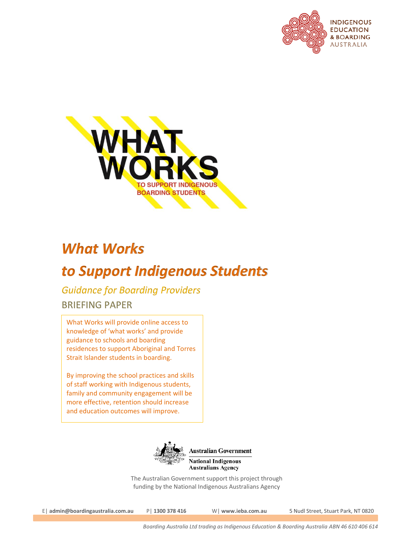



# *What Works*

# *to Support Indigenous Students*

*Guidance for Boarding Providers* BRIEFING PAPER

What Works will provide online access to knowledge of 'what works' and provide guidance to schools and boarding residences to support Aboriginal and Torres Strait Islander students in boarding.

By improving the school practices and skills of staff working with Indigenous students, family and community engagement will be more effective, retention should increase and education outcomes will improve.



**Australian Government National Indigenous Australians Agency** 

The Australian Government support this project through funding by the National Indigenous Australians Agency

E| **admin@boardingaustralia.com.au** P| **1300 378 416** W| **www.ieba.com.au** 5 Nudl Street, Stuart Park, NT 0820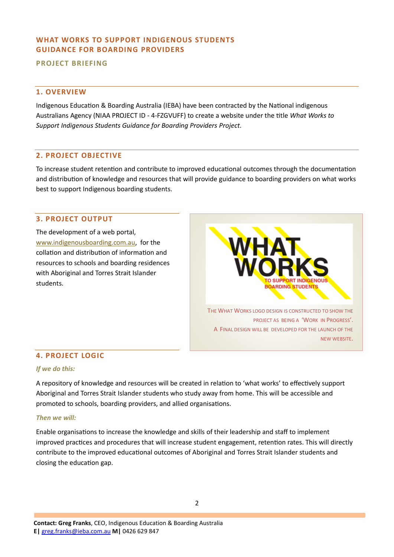# **WHAT WORKS TO SUPPORT INDIGENOUS STUDENTS GUIDANCE FOR BOARDING PROVIDERS**

**PROJECT BRIEFING** 

# **1. OVERVIEW**

Indigenous Education & Boarding Australia (IEBA) have been contracted by the National indigenous Australians Agency (NIAA PROJECT ID - 4-FZGVUFF) to create a website under the title *What Works to Support Indigenous Students Guidance for Boarding Providers Project.* 

## **2. PROJECT OBJECTIVE**

To increase student retention and contribute to improved educational outcomes through the documentation and distribution of knowledge and resources that will provide guidance to boarding providers on what works best to support Indigenous boarding students.

## **3. PROJECT OUTPUT**

The development of a web portal, [www.indigenousboarding.com.au,](http://www.indigenousboarding.com.au/) for the collation and distribution of information and resources to schools and boarding residences with Aboriginal and Torres Strait Islander students.



# **4. PROJECT LOGIC**

#### *If we do this:*

A repository of knowledge and resources will be created in relation to 'what works' to effectively support Aboriginal and Torres Strait Islander students who study away from home. This will be accessible and promoted to schools, boarding providers, and allied organisations.

#### *Then we will:*

Enable organisations to increase the knowledge and skills of their leadership and staff to implement improved practices and procedures that will increase student engagement, retention rates. This will directly contribute to the improved educational outcomes of Aboriginal and Torres Strait Islander students and closing the education gap.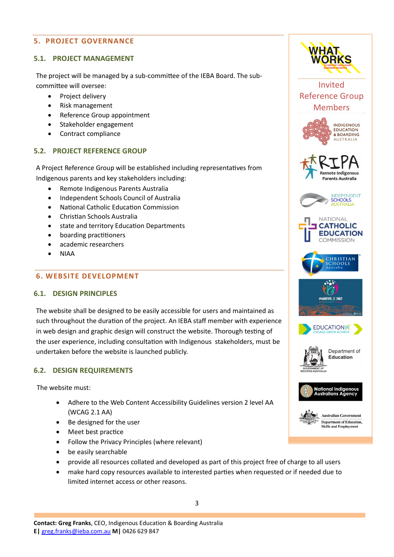# **5. PROJECT GOVERNANCE**

## **5.1. PROJECT MANAGEMENT**

The project will be managed by a sub-committee of the IEBA Board. The subcommittee will oversee:

- Project delivery
- Risk management
- Reference Group appointment
- Stakeholder engagement
- Contract compliance

# **5.2. PROJECT REFERENCE GROUP**

A Project Reference Group will be established including representatives from Indigenous parents and key stakeholders including:

- Remote Indigenous Parents Australia
- Independent Schools Council of Australia
- National Catholic Education Commission
- Christian Schools Australia
- state and territory Education Departments
- boarding practitioners
- academic researchers
- NIAA

## **6. WEBSITE DEVELOPMENT**

#### **6.1. DESIGN PRINCIPLES**

The website shall be designed to be easily accessible for users and maintained as such throughout the duration of the project. An IEBA staff member with experience in web design and graphic design will construct the website. Thorough testing of the user experience, including consultation with Indigenous stakeholders, must be undertaken before the website is launched publicly.

## **6.2. DESIGN REQUIREMENTS**

The website must:

- Adhere to the Web Content Accessibility Guidelines version 2 level AA (WCAG 2.1 AA)
- Be designed for the user
- Meet best practice
- Follow the Privacy Principles (where relevant)
- be easily searchable
- provide all resources collated and developed as part of this project free of charge to all users
- make hard copy resources available to interested parties when requested or if needed due to limited internet access or other reasons.